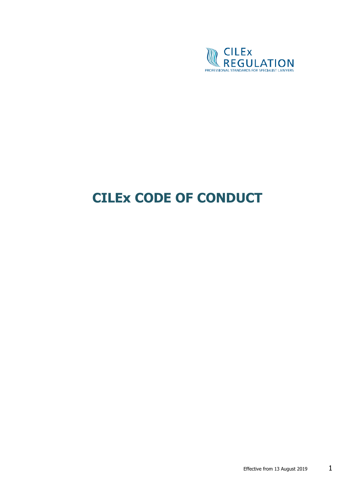

# **CILEx CODE OF CONDUCT**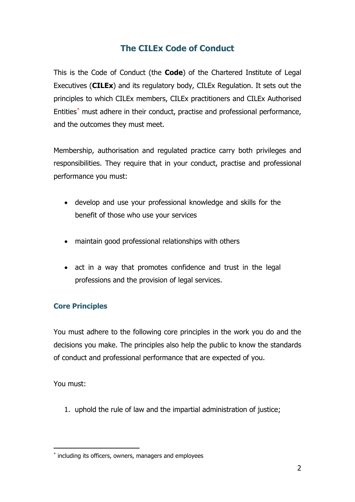## **The CILEx Code of Conduct**

This is the Code of Conduct (the **Code**) of the Chartered Institute of Legal Executives (**CILEx**) and its regulatory body, CILEx Regulation. It sets out the principles to which CILEx members, CILEx practitioners and CILEx Authorised Entities[\\*](#page-1-0) must adhere in their conduct, practise and professional performance, and the outcomes they must meet.

Membership, authorisation and regulated practice carry both privileges and responsibilities. They require that in your conduct, practise and professional performance you must:

- develop and use your professional knowledge and skills for the benefit of those who use your services
- maintain good professional relationships with others
- act in a way that promotes confidence and trust in the legal professions and the provision of legal services.

#### **Core Principles**

You must adhere to the following core principles in the work you do and the decisions you make. The principles also help the public to know the standards of conduct and professional performance that are expected of you.

You must:

1. uphold the rule of law and the impartial administration of justice;

<span id="page-1-0"></span><sup>\*</sup> including its officers, owners, managers and employees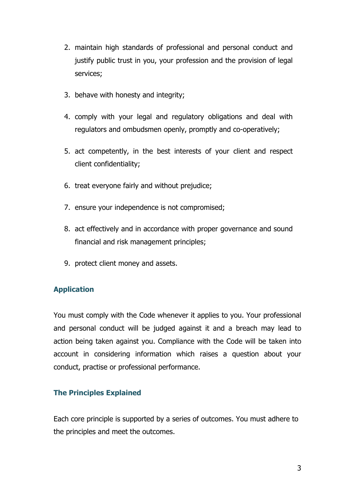- 2. maintain high standards of professional and personal conduct and justify public trust in you, your profession and the provision of legal services;
- 3. behave with honesty and integrity;
- 4. comply with your legal and regulatory obligations and deal with regulators and ombudsmen openly, promptly and co-operatively;
- 5. act competently, in the best interests of your client and respect client confidentiality;
- 6. treat everyone fairly and without prejudice;
- 7. ensure your independence is not compromised;
- 8. act effectively and in accordance with proper governance and sound financial and risk management principles;
- 9. protect client money and assets.

## **Application**

You must comply with the Code whenever it applies to you. Your professional and personal conduct will be judged against it and a breach may lead to action being taken against you. Compliance with the Code will be taken into account in considering information which raises a question about your conduct, practise or professional performance.

#### **The Principles Explained**

Each core principle is supported by a series of outcomes. You must adhere to the principles and meet the outcomes.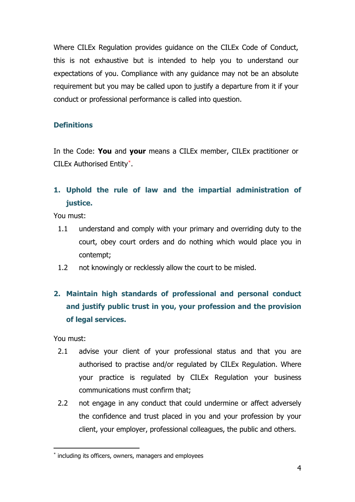Where CILEx Regulation provides guidance on the CILEx Code of Conduct, this is not exhaustive but is intended to help you to understand our expectations of you. Compliance with any guidance may not be an absolute requirement but you may be called upon to justify a departure from it if your conduct or professional performance is called into question.

## **Definitions**

In the Code: **You** and **your** means a CILEx member, CILEx practitioner or CILEx Authorised Entity[\\*](#page-3-0).

# **1. Uphold the rule of law and the impartial administration of justice.**

You must:

- 1.1 understand and comply with your primary and overriding duty to the court, obey court orders and do nothing which would place you in contempt;
- 1.2 not knowingly or recklessly allow the court to be misled.

# **2. Maintain high standards of professional and personal conduct and justify public trust in you, your profession and the provision of legal services.**

You must:

- 2.1 advise your client of your professional status and that you are authorised to practise and/or regulated by CILEx Regulation. Where your practice is regulated by CILEx Regulation your business communications must confirm that;
- 2.2 not engage in any conduct that could undermine or affect adversely the confidence and trust placed in you and your profession by your client, your employer, professional colleagues, the public and others.

<span id="page-3-0"></span><sup>\*</sup> including its officers, owners, managers and employees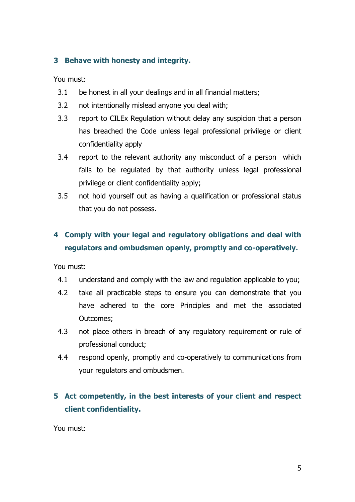## **3 Behave with honesty and integrity.**

You must:

- 3.1 be honest in all your dealings and in all financial matters;
- 3.2 not intentionally mislead anyone you deal with;
- 3.3 report to CILEx Regulation without delay any suspicion that a person has breached the Code unless legal professional privilege or client confidentiality apply
- 3.4 report to the relevant authority any misconduct of a person which falls to be regulated by that authority unless legal professional privilege or client confidentiality apply;
- 3.5 not hold yourself out as having a qualification or professional status that you do not possess.

# **4 Comply with your legal and regulatory obligations and deal with regulators and ombudsmen openly, promptly and co-operatively.**

You must:

- 4.1 understand and comply with the law and regulation applicable to you;
- 4.2 take all practicable steps to ensure you can demonstrate that you have adhered to the core Principles and met the associated Outcomes;
- 4.3 not place others in breach of any regulatory requirement or rule of professional conduct;
- 4.4 respond openly, promptly and co-operatively to communications from your regulators and ombudsmen.

# **5 Act competently, in the best interests of your client and respect client confidentiality.**

You must: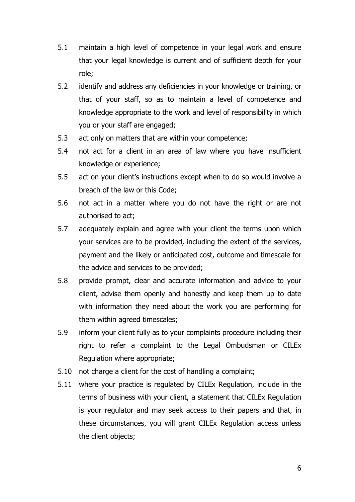- 5.1 maintain a high level of competence in your legal work and ensure that your legal knowledge is current and of sufficient depth for your role;
- 5.2 identify and address any deficiencies in your knowledge or training, or that of your staff, so as to maintain a level of competence and knowledge appropriate to the work and level of responsibility in which you or your staff are engaged;
- 5.3 act only on matters that are within your competence;
- 5.4 not act for a client in an area of law where you have insufficient knowledge or experience;
- 5.5 act on your client's instructions except when to do so would involve a breach of the law or this Code;
- 5.6 not act in a matter where you do not have the right or are not authorised to act;
- 5.7 adequately explain and agree with your client the terms upon which your services are to be provided, including the extent of the services, payment and the likely or anticipated cost, outcome and timescale for the advice and services to be provided;
- 5.8 provide prompt, clear and accurate information and advice to your client, advise them openly and honestly and keep them up to date with information they need about the work you are performing for them within agreed timescales;
- 5.9 inform your client fully as to your complaints procedure including their right to refer a complaint to the Legal Ombudsman or CILEx Regulation where appropriate;
- 5.10 not charge a client for the cost of handling a complaint;
- 5.11 where your practice is regulated by CILEx Regulation, include in the terms of business with your client, a statement that CILEx Regulation is your regulator and may seek access to their papers and that, in these circumstances, you will grant CILEx Regulation access unless the client objects;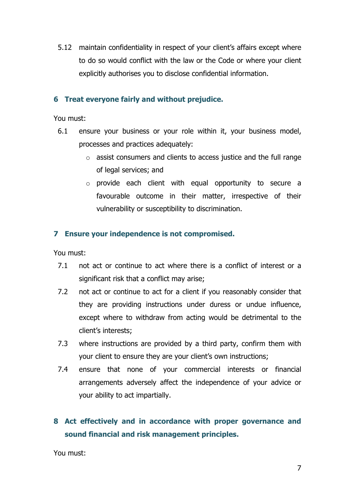5.12 maintain confidentiality in respect of your client's affairs except where to do so would conflict with the law or the Code or where your client explicitly authorises you to disclose confidential information.

### **6 Treat everyone fairly and without prejudice.**

You must:

- 6.1 ensure your business or your role within it, your business model, processes and practices adequately:
	- $\circ$  assist consumers and clients to access justice and the full range of legal services; and
	- o provide each client with equal opportunity to secure a favourable outcome in their matter, irrespective of their vulnerability or susceptibility to discrimination.

## **7 Ensure your independence is not compromised.**

You must:

- 7.1 not act or continue to act where there is a conflict of interest or a significant risk that a conflict may arise;
- 7.2 not act or continue to act for a client if you reasonably consider that they are providing instructions under duress or undue influence, except where to withdraw from acting would be detrimental to the client's interests;
- 7.3 where instructions are provided by a third party, confirm them with your client to ensure they are your client's own instructions;
- 7.4 ensure that none of your commercial interests or financial arrangements adversely affect the independence of your advice or your ability to act impartially.

# **8 Act effectively and in accordance with proper governance and sound financial and risk management principles.**

You must: